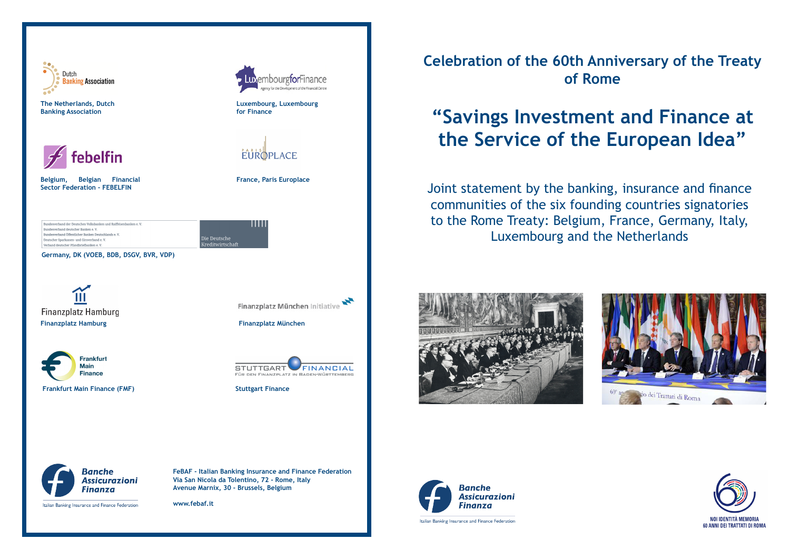

**Celebration of the 60th Anniversary of the Treaty of Rome**

## **"Savings Investment and Finance at the Service of the European Idea"**

Joint statement by the banking, insurance and finance communities of the six founding countries signatories to the Rome Treaty: Belgium, France, Germany, Italy, Luxembourg and the Netherlands